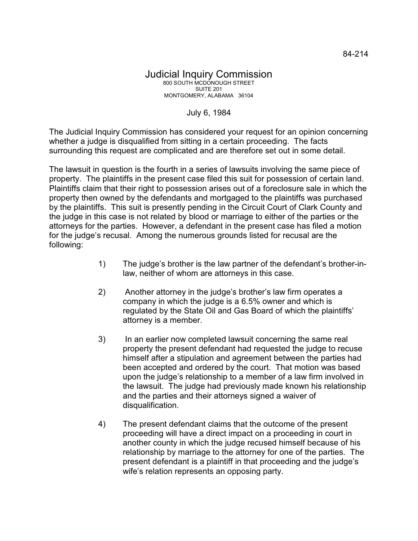July 6, 1984

The Judicial Inquiry Commission has considered your request for an opinion concerning whether a judge is disqualified from sitting in a certain proceeding. The facts surrounding this request are complicated and are therefore set out in some detail.

The lawsuit in question is the fourth in a series of lawsuits involving the same piece of property. The plaintiffs in the present case filed this suit for possession of certain land. Plaintiffs claim that their right to possession arises out of a foreclosure sale in which the property then owned by the defendants and mortgaged to the plaintiffs was purchased by the plaintiffs. This suit is presently pending in the Circuit Court of Clark County and the judge in this case is not related by blood or marriage to either of the parties or the attorneys for the parties. However, a defendant in the present case has filed a motion for the judge's recusal. Among the numerous grounds listed for recusal are the following:

- 1) The judge's brother is the law partner of the defendant's brother-inlaw, neither of whom are attorneys in this case.
- 2) Another attorney in the judge's brother's law firm operates a company in which the judge is a 6.5% owner and which is regulated by the State Oil and Gas Board of which the plaintiffs' attorney is a member.
- 3) In an earlier now completed lawsuit concerning the same real property the present defendant had requested the judge to recuse himself after a stipulation and agreement between the parties had been accepted and ordered by the court. That motion was based upon the judge's relationship to a member of a law firm involved in the lawsuit. The judge had previously made known his relationship and the parties and their attorneys signed a waiver of disqualification.
- 4) The present defendant claims that the outcome of the present proceeding will have a direct impact on a proceeding in court in another county in which the judge recused himself because of his relationship by marriage to the attorney for one of the parties. The present defendant is a plaintiff in that proceeding and the judge's wife's relation represents an opposing party.